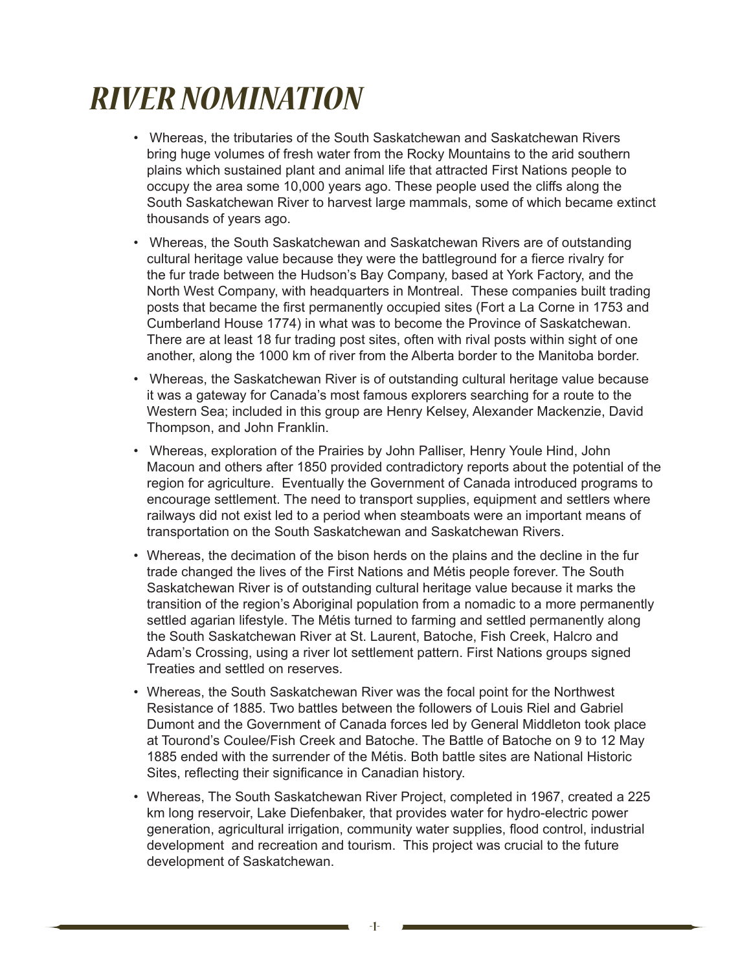## *RIVER NOMINATION*

- Whereas, the tributaries of the South Saskatchewan and Saskatchewan Rivers bring huge volumes of fresh water from the Rocky Mountains to the arid southern plains which sustained plant and animal life that attracted First Nations people to occupy the area some 10,000 years ago. These people used the cliffs along the South Saskatchewan River to harvest large mammals, some of which became extinct thousands of years ago.
- Whereas, the South Saskatchewan and Saskatchewan Rivers are of outstanding cultural heritage value because they were the battleground for a fierce rivalry for the fur trade between the Hudson's Bay Company, based at York Factory, and the North West Company, with headquarters in Montreal. These companies built trading posts that became the first permanently occupied sites (Fort a La Corne in 1753 and Cumberland House 1774) in what was to become the Province of Saskatchewan. There are at least 18 fur trading post sites, often with rival posts within sight of one another, along the 1000 km of river from the Alberta border to the Manitoba border.
- Whereas, the Saskatchewan River is of outstanding cultural heritage value because it was a gateway for Canada's most famous explorers searching for a route to the Western Sea; included in this group are Henry Kelsey, Alexander Mackenzie, David Thompson, and John Franklin.
- Whereas, exploration of the Prairies by John Palliser, Henry Youle Hind, John Macoun and others after 1850 provided contradictory reports about the potential of the region for agriculture. Eventually the Government of Canada introduced programs to encourage settlement. The need to transport supplies, equipment and settlers where railways did not exist led to a period when steamboats were an important means of transportation on the South Saskatchewan and Saskatchewan Rivers.
- Whereas, the decimation of the bison herds on the plains and the decline in the fur trade changed the lives of the First Nations and Métis people forever. The South Saskatchewan River is of outstanding cultural heritage value because it marks the transition of the region's Aboriginal population from a nomadic to a more permanently settled agarian lifestyle. The Métis turned to farming and settled permanently along the South Saskatchewan River at St. Laurent, Batoche, Fish Creek, Halcro and Adam's Crossing, using a river lot settlement pattern. First Nations groups signed Treaties and settled on reserves.
- Whereas, the South Saskatchewan River was the focal point for the Northwest Resistance of 1885. Two battles between the followers of Louis Riel and Gabriel Dumont and the Government of Canada forces led by General Middleton took place at Tourond's Coulee/Fish Creek and Batoche. The Battle of Batoche on 9 to 12 May 1885 ended with the surrender of the Métis. Both battle sites are National Historic Sites, reflecting their significance in Canadian history.
- Whereas, The South Saskatchewan River Project, completed in 1967, created a 225 km long reservoir, Lake Diefenbaker, that provides water for hydro-electric power generation, agricultural irrigation, community water supplies, flood control, industrial development and recreation and tourism. This project was crucial to the future development of Saskatchewan.